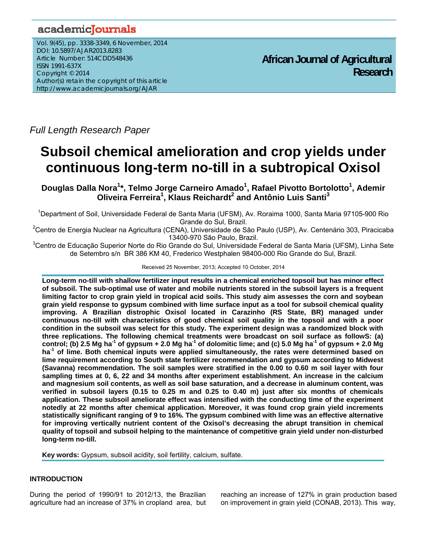# academicJournals

Vol. 9(45), pp. 3338-3349, 6 November, 2014 DOI: 10.5897/AJAR2013.8283 Article Number: 514CDD548436 ISSN 1991-637X Copyright © 2014 Author(s) retain the copyright of this article http://www.academicjournals.org/AJAR

**African Journal of Agricultural Research**

*Full Length Research Paper* 

# **Subsoil chemical amelioration and crop yields under continuous long-term no-till in a subtropical Oxisol**

Douglas Dalla Nora<sup>1</sup>\*, Telmo Jorge Carneiro Amado<sup>1</sup>, Rafael Pivotto Bortolotto<sup>1</sup>, Ademir **Oliveira Ferreira<sup>1</sup>, Klaus Reichardt<sup>2</sup> and Antônio Luis Santi<sup>3</sup>** 

<sup>1</sup>Department of Soil, Universidade Federal de Santa Maria (UFSM), Av. Roraima 1000, Santa Maria 97105-900 Rio Grande do Sul, Brazil.

<sup>2</sup>Centro de Energia Nuclear na Agricultura (CENA), Universidade de São Paulo (USP), Av. Centenário 303, Piracicaba 13400-970 São Paulo, Brazil.

<sup>3</sup>Centro de Educação Superior Norte do Rio Grande do Sul, Universidade Federal de Santa Maria (UFSM), Linha Sete de Setembro s/n BR 386 KM 40, Frederico Westphalen 98400-000 Rio Grande do Sul, Brazil.

Received 25 November, 2013; Accepted 10 October, 2014

**Long-term no-till with shallow fertilizer input results in a chemical enriched topsoil but has minor effect of subsoil. The sub-optimal use of water and mobile nutrients stored in the subsoil layers is a frequent limiting factor to crop grain yield in tropical acid soils. This study aim assesses the corn and soybean grain yield response to gypsum combined with lime surface input as a tool for subsoil chemical quality improving. A Brazilian distrophic Oxisol located in Carazinho (RS State, BR) managed under continuous no-till with characteristics of good chemical soil quality in the topsoil and with a poor condition in the subsoil was select for this study. The experiment design was a randomized block with three replications. The following chemical treatments were broadcast on soil surface as followS: (a)**  control; (b) 2.5 Mg ha<sup>-1</sup> of gypsum + 2.0 Mg ha<sup>-1</sup> of dolomitic lime; and (c) 5.0 Mg ha<sup>-1</sup> of gypsum + 2.0 Mg **ha-1 of lime. Both chemical inputs were applied simultaneously, the rates were determined based on lime requirement according to South state fertilizer recommendation and gypsum according to Midwest (Savanna) recommendation. The soil samples were stratified in the 0.00 to 0.60 m soil layer with four sampling times at 0, 6, 22 and 34 months after experiment establishment. An increase in the calcium and magnesium soil contents, as well as soil base saturation, and a decrease in aluminum content, was verified in subsoil layers (0.15 to 0.25 m and 0.25 to 0.40 m) just after six months of chemicals application. These subsoil ameliorate effect was intensified with the conducting time of the experiment notedly at 22 months after chemical application. Moreover, it was found crop grain yield increments statistically significant ranging of 9 to 16%. The gypsum combined with lime was an effective alternative for improving vertically nutrient content of the Oxisol's decreasing the abrupt transition in chemical quality of topsoil and subsoil helping to the maintenance of competitive grain yield under non-disturbed long-term no-till.** 

**Key words:** Gypsum, subsoil acidity, soil fertility, calcium, sulfate.

# **INTRODUCTION**

During the period of 1990/91 to 2012/13, the Brazilian agriculture had an increase of 37% in cropland area, but

reaching an increase of 127% in grain production based on improvement in grain yield (CONAB, 2013). This way,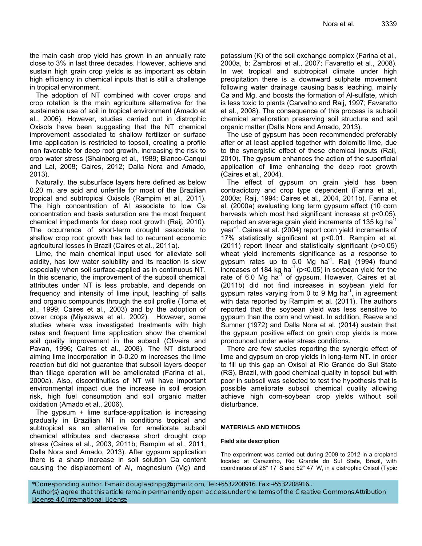the main cash crop yield has grown in an annually rate close to 3% in last three decades. However, achieve and sustain high grain crop yields is as important as obtain high efficiency in chemical inputs that is still a challenge in tropical environment.

The adoption of NT combined with cover crops and crop rotation is the main agriculture alternative for the sustainable use of soil in tropical environment (Amado et al., 2006). However, studies carried out in distrophic Oxisols have been suggesting that the NT chemical improvement associated to shallow fertilizer or surface lime application is restricted to topsoil, creating a profile non favorable for deep root growth, increasing the risk to crop water stress (Shainberg et al., 1989; Blanco-Canqui and Lal, 2008; Caires, 2012; Dalla Nora and Amado, 2013).

Naturally, the subsurface layers here defined as below 0.20 m, are acid and unfertile for most of the Brazilian tropical and subtropical Oxisols (Rampim et al., 2011). The high concentration of Al associate to low Ca concentration and basis saturation are the most frequent chemical impediments for deep root growth (Raij, 2010). The occurrence of short-term drought associate to shallow crop root growth has led to recurrent economic agricultural losses in Brazil (Caires et al., 2011a).

Lime, the main chemical input used for alleviate soil acidity, has low water solubility and its reaction is slow especially when soil surface-applied as in continuous NT. In this scenario, the improvement of the subsoil chemical attributes under NT is less probable, and depends on frequency and intensity of lime input, leaching of salts and organic compounds through the soil profile (Toma et al., 1999; Caires et al., 2003) and by the adoption of cover crops (Miyazawa et al., 2002). However, some studies where was investigated treatments with high rates and frequent lime application show the chemical soil quality improvement in the subsoil (Oliveira and Pavan, 1996; Caires et al., 2008). The NT disturbed aiming lime incorporation in 0-0.20 m increases the lime reaction but did not guarantee that subsoil layers deeper than tillage operation will be ameliorated (Farina et al., 2000a). Also, discontinuities of NT will have important environmental impact due the increase in soil erosion risk, high fuel consumption and soil organic matter oxidation (Amado et al., 2006).

The gypsum + lime surface-application is increasing gradually in Brazilian NT in conditions tropical and subtropical as an alternative for ameliorate subsoil chemical attributes and decrease short drought crop stress (Caires et al., 2003, 2011b; Rampim et al., 2011; Dalla Nora and Amado, 2013). After gypsum application there is a sharp increase in soil solution Ca content causing the displacement of Al, magnesium (Mg) and potassium (K) of the soil exchange complex (Farina et al., 2000a, b; Zambrosi et al., 2007; Favaretto et al., 2008). In wet tropical and subtropical climate under high precipitation there is a downward sulphate movement following water drainage causing basis leaching, mainly Ca and Mg, and boosts the formation of Al-sulfate, which is less toxic to plants (Carvalho and Raij, 1997; Favaretto et al., 2008). The consequence of this process is subsoil chemical amelioration preserving soil structure and soil organic matter (Dalla Nora and Amado, 2013).

The use of gypsum has been recommended preferably after or at least applied together with dolomitic lime, due to the synergistic effect of these chemical inputs (Raij, 2010). The gypsum enhances the action of the superficial application of lime enhancing the deep root growth (Caires et al., 2004).

The effect of gypsum on grain yield has been contradictory and crop type dependent (Farina et al., 2000a; Raij, 1994; Caires et al., 2004, 2011b). Farina et al. (2000a) evaluating long term gypsum effect (10 corn harvests which most had significant increase at p<0.05), reported an average grain yield increments of 135 kg hat year<sup>-1</sup>. Caires et al. (2004) report corn yield increments of 17% statistically significant at p<0.01. Rampim et al. (2011) report linear and statistically significant (p<0.05) wheat yield increments significance as a response to gypsum rates up to 5.0 Mg ha<sup>-1</sup>. Raij (1994) found increases of 184 kg ha<sup>-1</sup> ( $p$ <0.05) in soybean yield for the rate of 6.0 Mg ha<sup>-1</sup> of gypsum. However, Caires et al. (2011b) did not find increases in soybean yield for gypsum rates varying from 0 to 9 Mg ha<sup>-1</sup>, in agreement with data reported by Rampim et al. (2011). The authors reported that the soybean yield was less sensitive to gypsum than the corn and wheat. In addition, Reeve and Sumner (1972) and Dalla Nora et al. (2014) sustain that the gypsum positive effect on grain crop yields is more pronounced under water stress conditions.

There are few studies reporting the synergic effect of lime and gypsum on crop yields in long-term NT. In order to fill up this gap an Oxisol at Rio Grande do Sul State (RS), Brazil, with good chemical quality in topsoil but with poor in subsoil was selected to test the hypothesis that is possible ameliorate subsoil chemical quality allowing achieve high corn-soybean crop yields without soil disturbance.

#### **MATERIALS AND METHODS**

#### **Field site description**

The experiment was carried out during 2009 to 2012 in a cropland located at Carazinho, Rio Grande do Sul State, Brazil, with coordinates of 28° 17' S and 52° 47' W, in a distrophic Oxisol (Typic

\*Corresponding author. E-mail: douglasdnpg@gmail.com, Tel:+5532208916. Fax:+5532208916.. Author(s) agree that this article remain permanently open access under the terms of the Creative Commons Attribution License 4.0 International License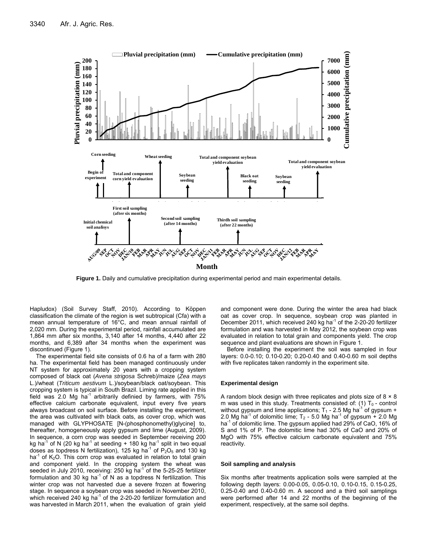

**Figure 1.** Daily and cumulative precipitation during experimental period and main experimental details.

Hapludox) (Soil Survey Staff, 2010). According to Köppen classification the climate of the region is wet subtropical (Cfa) with a mean annual temperature of 16°C, and mean annual rainfall of 2,020 mm. During the experimental period, rainfall accumulated are 1,864 mm after six months, 3,140 after 14 months, 4,440 after 22 months, and 6,389 after 34 months when the experiment was discontinued (Figure 1).

The experimental field site consists of 0.6 ha of a farm with 280 ha. The experimental field has been managed continuously under NT system for approximately 20 years with a cropping system composed of black oat (*Avena strigosa* Schreb)/maize (*Zea mays* L.)/wheat (*Triticum aestivum* L.)/soybean/black oat/soybean. This cropping system is typical in South Brazil. Liming rate applied in this field was 2.0 Mg ha<sup>-1</sup> arbitrarily definied by farmers, with  $75\%$ effective calcium carbonate equivalent, input every five years always broadcast on soil surface. Before installing the experiment, the area was cultivated with black oats, as cover crop, which was managed with GLYPHOSATE [N-(phosphonomethyl)glycine] to, thereafter, homogeneously apply gypsum and lime (August, 2009). In sequence, a corn crop was seeded in September receiving 200 kg ha<sup>-1</sup> of N (20 kg ha<sup>-1</sup> at seeding  $+$  180 kg ha<sup>-1</sup> split in two equal doses as topdress N fertilization), 125 kg ha<sup>-1</sup> of  $P_2O_5$  and 130 kg ha<sup>-1</sup> of K<sub>2</sub>O. This corn crop was evaluated in relation to total grain and component yield. In the cropping system the wheat was seeded in July 2010, receiving: 250 kg ha<sup>-1</sup> of the 5-25-25 fertilizer formulation and 30 kg ha<sup>-1</sup> of N as a topdress N fertilization. This winter crop was not harvested due a severe frozen at flowering stage. In sequence a soybean crop was seeded in November 2010, which received 240 kg ha<sup>-1</sup> of the 2-20-20 fertilizer formulation and was harvested in March 2011, when the evaluation of grain yield and component were done. During the winter the area had black oat as cover crop. In sequence, soybean crop was planted in December 2011, which received 240 kg ha<sup>-1</sup> of the 2-20-20 fertilizer formulation and was harvested in May 2012, the soybean crop was evaluated in relation to total grain and components yield. The crop sequence and plant evaluations are shown in Figure 1.

Before installing the experiment the soil was sampled in four layers: 0.0-0.10; 0.10-0.20; 0.20-0.40 and 0.40-0.60 m soil depths with five replicates taken randomly in the experiment site.

#### **Experimental design**

A random block design with three replicates and plots size of 8 × 8 m was used in this study. Treatments consisted of: (1)  $T_0$  - control without gypsum and lime applications;  $T_1$  - 2.5 Mg ha<sup>-1</sup> of gypsum + 2.0 Mg ha<sup>-1</sup> of dolomitic lime;  $T_2$  - 5.0 Mg ha<sup>-1</sup> of gypsum + 2.0 Mg ha<sup>-1</sup> of dolomitic lime. The gypsum applied had 29% of CaO, 16% of S and 1% of P. The dolomitic lime had 30% of CaO and 20% of MgO with 75% effective calcium carbonate equivalent and 75% reactivity.

#### **Soil sampling and analysis**

Six months after treatments application soils were sampled at the following depth layers: 0.00-0.05, 0.05-0.10, 0.10-0.15, 0.15-0.25, 0.25-0.40 and 0.40-0.60 m. A second and a third soil samplings were performed after 14 and 22 months of the beginning of the experiment, respectively, at the same soil depths.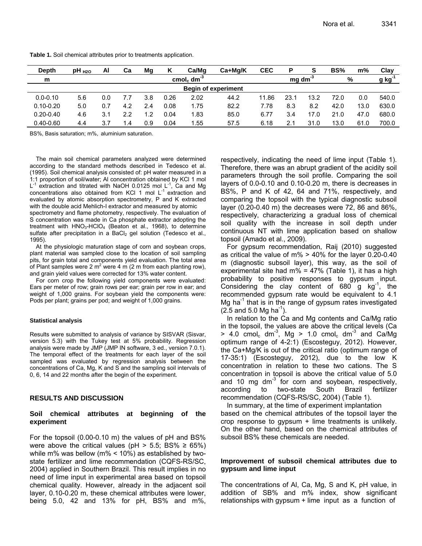| Depth         | $pH_{H2O}$ | Al  | Сa  | Mg  | ĸ    | Ca/Mg                              | Ca+Mg/K                    | <b>CEC</b> | P               | S    | BS%  | m%   | Clay  |
|---------------|------------|-----|-----|-----|------|------------------------------------|----------------------------|------------|-----------------|------|------|------|-------|
| m             |            |     |     |     |      | cmol <sub>c</sub> dm <sup>-3</sup> |                            |            | $mg \, dm^{-3}$ |      | %    |      | g kg  |
|               |            |     |     |     |      |                                    | <b>Begin of experiment</b> |            |                 |      |      |      |       |
| $0.0 - 0.10$  | 5.6        | 0.0 |     | 3.8 | 0.26 | 2.02                               | 44.2                       | 11.86      | 23.1            | 13.2 | 72.0 | 0.0  | 540.0 |
| $0.10 - 0.20$ | 5.0        | 0.7 | 4.2 | 2.4 | 0.08 | 1.75                               | 82.2                       | 7.78       | 8.3             | 8.2  | 42.0 | 13.0 | 630.0 |
| $0.20 - 0.40$ | 4.6        | 3.1 | 2.2 | 1.2 | 0.04 | 1.83                               | 85.0                       | 6.77       | 3.4             | 17.0 | 21.0 | 47.0 | 680.0 |
| $0.40 - 0.60$ | 4.4        |     | .4  | 0.9 | 0.04 | 1.55                               | 57.5                       | 6.18       |                 | 31.0 | 13.0 | 61.0 | 700.0 |

**Table 1.** Soil chemical attributes prior to treatments application.

BS%, Basis saturation; m%, aluminium saturation.

The main soil chemical parameters analyzed were determined according to the standard methods described in Tedesco et al. (1995). Soil chemical analysis consisted of: pH water measured in a 1:1 proportion of soil/water; Al concentration obtained by KCl 1 mol  $L^{-1}$  extraction and titrated with NaOH 0.0125 mol  $L^{-1}$ , Ca and Mg concentrations also obtained from KCl 1 mol  $L^{-1}$  extraction and evaluated by atomic absorption spectrometry, P and K extracted with the double acid Mehlich-I extractor and measured by atomic

spectrometry and flame photometry, respectively. The evaluation of S concentration was made in Ca phosphate extractor adopting the treatment with  $HNO<sub>3</sub>-HClO<sub>4</sub>$  (Beaton et al., 1968), to determine sulfate after precipitation in a BaCl<sub>2</sub> gel solution (Tedesco et al., 1995).

At the physiologic maturation stage of corn and soybean crops, plant material was sampled close to the location of soil sampling pits, for grain total and components yield evaluation. The total area of Plant samples were 2 m<sup>2</sup> were 4 m (2 m from each planting row), and grain yield values were corrected for 13% water content.

For corn crop the following yield components were evaluated: Ears per meter of row; grain rows per ear; grain per row in ear; and weight of 1,000 grains. For soybean yield the components were: Pods per plant; grains per pod; and weight of 1,000 grains.

#### **Statistical analysis**

Results were submitted to analysis of variance by SISVAR (Sisvar, version 5.3) with the Tukey test at 5% probability. Regression analysis were made by JMP (JMP IN software, 3 ed., version 7.0.1). The temporal effect of the treatments for each layer of the soil sampled was evaluated by regression analysis between the concentrations of Ca, Mg, K and S and the sampling soil intervals of 0, 6, 14 and 22 months after the begin of the experiment.

#### **RESULTS AND DISCUSSION**

#### **Soil chemical attributes at beginning of the experiment**

For the topsoil (0.00-0.10 m) the values of pH and BS% were above the critical values (pH  $>$  5.5; BS%  $\geq$  65%) while m% was bellow (m%  $<$  10%) as established by twostate fertilizer and lime recommendation (CQFS-RS/SC, 2004) applied in Southern Brazil. This result implies in no need of lime input in experimental area based on topsoil chemical quality. However, already in the adjacent soil layer, 0.10-0.20 m, these chemical attributes were lower, being 5.0, 42 and 13% for pH, BS% and m%, respectively, indicating the need of lime input (Table 1). Therefore, there was an abrupt gradient of the acidity soil parameters through the soil profile. Comparing the soil layers of 0.0-0.10 and 0.10-0.20 m, there is decreases in BS%, P and K of 42, 64 and 71%, respectively, and comparing the topsoil with the typical diagnostic subsoil layer (0.20-0.40 m) the decreases were 72, 86 and 86%, respectively, characterizing a gradual loss of chemical soil quality with the increase in soil depth under continuous NT with lime application based on shallow topsoil (Amado et al., 2009).

For gypsum recommendation, Raij (2010) suggested as critical the value of m% > 40% for the layer 0.20-0.40 m (diagnostic subsoil layer), this way, as the soil of experimental site had m% =  $47\%$  (Table 1), it has a high probability to positive responses to gypsum input. Considering the clay content of 680 g  $kg^{-1}$ , the recommended gypsum rate would be equivalent to 4.1 Mg ha<sup>-1</sup> that is in the range of gypsum rates investigated  $(2.5$  and 5.0 Mg ha<sup>-1</sup>).

In relation to the Ca and Mg contents and Ca/Mg ratio in the topsoil, the values are above the critical levels (Ca  $> 4.0$  cmol<sub>c</sub> dm<sup>-3</sup>, Mg  $> 1.0$  cmol<sub>c</sub> dm<sup>-3</sup> and Ca/Mg optimum range of 4-2:1) (Escosteguy, 2012). However, the Ca+Mg/K is out of the critical ratio (optimum range of 17-35:1) (Escosteguy, 2012), due to the low K concentration in relation to these two cations. The S concentration in topsoil is above the critical value of 5.0 and 10 mg dm $^{-3}$  for corn and soybean, respectively, according to two-state South Brazil fertilizer recommendation (CQFS-RS/SC, 2004) (Table 1).

In summary, at the time of experiment implantation based on the chemical attributes of the topsoil layer the crop response to gypsum + lime treatments is unlikely. On the other hand, based on the chemical attributes of subsoil BS% these chemicals are needed.

# **Improvement of subsoil chemical attributes due to gypsum and lime input**

The concentrations of Al, Ca, Mg, S and K, pH value, in addition of SB% and m% index, show significant relationships with gypsum + lime input as a function of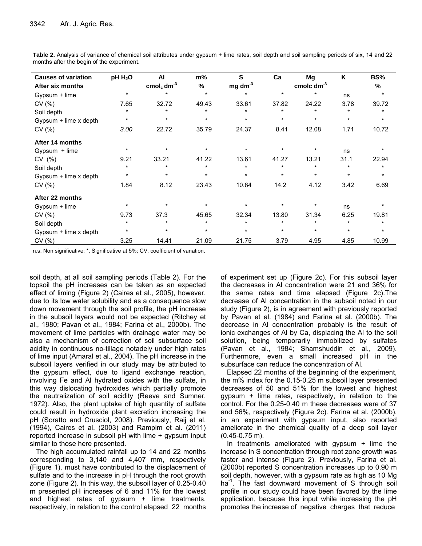| <b>Causes of variation</b> | $pH H_2O$ | AI                                                     | m%      | S         | Ca      | Mg                                                  | K       | BS%     |
|----------------------------|-----------|--------------------------------------------------------|---------|-----------|---------|-----------------------------------------------------|---------|---------|
| After six months           |           | $\frac{\text{cmol}_c}{\text{cmol}_c}$ dm <sup>-3</sup> | %       | $mg dm-3$ |         | $\frac{\text{cmolc}}{\text{cmol}}$ dm <sup>-3</sup> |         | %       |
| Gypsum + lime              | $\star$   | $\star$                                                | $\star$ | $\star$   | $\star$ | $\star$                                             | ns      | $\star$ |
| CV(%)                      | 7.65      | 32.72                                                  | 49.43   | 33.61     | 37.82   | 24.22                                               | 3.78    | 39.72   |
| Soil depth                 | $\star$   | $\star$                                                | $\star$ |           | $\star$ | $\star$                                             | $\star$ | *       |
| Gypsum + lime x depth      | $\star$   | $\star$                                                | $\star$ | $\star$   | $\star$ | $^\star$                                            | $\star$ | $\star$ |
| CV(%)                      | 3.00      | 22.72                                                  | 35.79   | 24.37     | 8.41    | 12.08                                               | 1.71    | 10.72   |
| After 14 months            |           |                                                        |         |           |         |                                                     |         |         |
| Gypsum + lime              | $\star$   | $\star$                                                | $\star$ | $\ast$    | *       | $\ast$                                              | ns      | $\star$ |
| CV (%)                     | 9.21      | 33.21                                                  | 41.22   | 13.61     | 41.27   | 13.21                                               | 31.1    | 22.94   |
| Soil depth                 | $\star$   | $\star$                                                | $\star$ | $\star$   | $\star$ | $\star$                                             | $\star$ | $\star$ |
| Gypsum + lime x depth      | $\star$   | $\star$                                                | $\star$ | $\star$   | $\star$ | $^\star$                                            | $\star$ | $\star$ |
| CV(%)                      | 1.84      | 8.12                                                   | 23.43   | 10.84     | 14.2    | 4.12                                                | 3.42    | 6.69    |
| After 22 months            |           |                                                        |         |           |         |                                                     |         |         |
| Gypsum + lime              | $\star$   | $\star$                                                |         |           | $\star$ | $\star$                                             | ns      | $\star$ |
| CV(%)                      | 9.73      | 37.3                                                   | 45.65   | 32.34     | 13.80   | 31.34                                               | 6.25    | 19.81   |
| Soil depth                 | $\star$   | $\star$                                                |         | $\star$   | $\star$ | $\ast$                                              | $\star$ | $\star$ |
| Gypsum + lime x depth      | $\star$   | $\star$                                                | $\star$ | $\star$   | $\star$ | $^\star$                                            | $\star$ | $\star$ |
| CV(%)                      | 3.25      | 14.41                                                  | 21.09   | 21.75     | 3.79    | 4.95                                                | 4.85    | 10.99   |

**Table 2.** Analysis of variance of chemical soil attributes under gypsum + lime rates, soil depth and soil sampling periods of six, 14 and 22 months after the begin of the experiment.

n.s, Non significative; \*, Significative at 5%; CV, coefficient of variation.

soil depth, at all soil sampling periods (Table 2). For the topsoil the pH increases can be taken as an expected effect of liming (Figure 2) (Caires et al., 2005), however, due to its low water solubility and as a consequence slow down movement through the soil profile, the pH increase in the subsoil layers would not be expected (Ritchey et al., 1980; Pavan et al., 1984; Farina et al., 2000b). The movement of lime particles with drainage water may be also a mechanism of correction of soil subsurface soil acidity in continuous no-tillage notadely under high rates of lime input (Amaral et al., 2004). The pH increase in the subsoil layers verified in our study may be attributed to the gypsum effect, due to ligand exchange reaction, involving Fe and Al hydrated oxides with the sulfate, in this way dislocating hydroxides which partially promote the neutralization of soil acidity (Reeve and Sumner, 1972). Also, the plant uptake of high quantity of sulfate could result in hydroxide plant excretion increasing the pH (Soratto and Crusciol, 2008). Previously, Raij et al. (1994), Caires et al. (2003) and Rampim et al. (2011) reported increase in subsoil pH with lime + gypsum input similar to those here presented.

The high accumulated rainfall up to 14 and 22 months corresponding to 3,140 and 4,407 mm, respectively (Figure 1), must have contributed to the displacement of sulfate and to the increase in pH through the root growth zone (Figure 2). In this way, the subsoil layer of 0.25-0.40 m presented pH increases of 6 and 11% for the lowest and highest rates of gypsum + lime treatments, respectively, in relation to the control elapsed 22 months of experiment set up (Figure 2c). For this subsoil layer the decreases in Al concentration were 21 and 36% for the same rates and time elapsed (Figure 2c).The decrease of Al concentration in the subsoil noted in our study (Figure 2), is in agreement with previously reported by Pavan et al. (1984) and Farina et al. (2000b). The decrease in Al concentration probably is the result of ionic exchanges of Al by Ca, displacing the Al to the soil solution, being temporarily immobilized by sulfates (Pavan et al., 1984; Shamshuddin et al., 2009). Furthermore, even a small increased pH in the subsurface can reduce the concentration of Al.

Elapsed 22 months of the beginning of the experiment, the m% index for the 0.15-0.25 m subsoil layer presented decreases of 50 and 51% for the lowest and highest gypsum + lime rates, respectively, in relation to the control. For the 0.25-0.40 m these decreases were of 37 and 56%, respectively (Figure 2c). Farina et al. (2000b), in an experiment with gypsum input, also reported ameliorate in the chemical quality of a deep soil layer (0.45-0.75 m).

In treatments ameliorated with gypsum  $+$  lime the increase in S concentration through root zone growth was faster and intense (Figure 2). Previously, Farina et al. (2000b) reported S concentration increases up to 0.90 m soil depth, however, with a gypsum rate as high as 10 Mg ha<sup>-1</sup>. The fast downward movement of S through soil profile in our study could have been favored by the lime application, because this input while increasing the pH promotes the increase of negative charges that reduce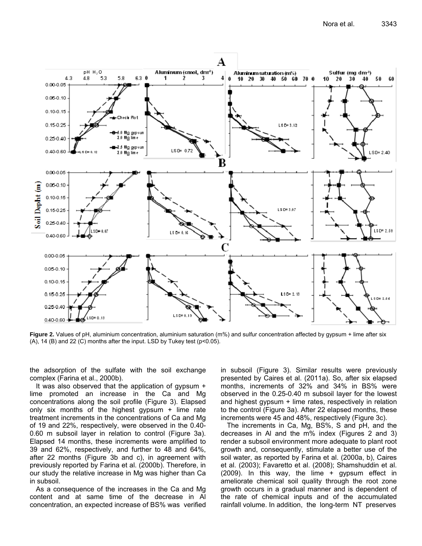

**Figure 2.** Values of pH, aluminium concentration, aluminium saturation (m%) and sulfur concentration affected by gypsum + lime after six (A), 14 (B) and 22 (C) months after the input. LSD by Tukey test (p<0.05).

the adsorption of the sulfate with the soil exchange complex (Farina et al., 2000b).

It was also observed that the application of gypsum + lime promoted an increase in the Ca and Mg concentrations along the soil profile (Figure 3). Elapsed only six months of the highest gypsum + lime rate treatment increments in the concentrations of Ca and Mg of 19 and 22%, respectively, were observed in the 0.40- 0.60 m subsoil layer in relation to control (Figure 3a). Elapsed 14 months, these increments were amplified to 39 and 62%, respectively, and further to 48 and 64%, after 22 months (Figure 3b and c), in agreement with previously reported by Farina et al. (2000b). Therefore, in our study the relative increase in Mg was higher than Ca in subsoil.

As a consequence of the increases in the Ca and Mg content and at same time of the decrease in Al concentration, an expected increase of BS% was verified in subsoil (Figure 3). Similar results were previously presented by Caires et al. (2011a). So, after six elapsed months, increments of 32% and 34% in BS% were observed in the 0.25-0.40 m subsoil layer for the lowest and highest gypsum + lime rates, respectively in relation to the control (Figure 3a). After 22 elapsed months, these increments were 45 and 48%, respectively (Figure 3c).

The increments in Ca, Mg, BS%, S and pH, and the decreases in Al and the m% index (Figures 2 and 3) render a subsoil environment more adequate to plant root growth and, consequently, stimulate a better use of the soil water, as reported by Farina et al. (2000a, b), Caires et al. (2003); Favaretto et al. (2008); Shamshuddin et al. (2009). In this way, the lime + gypsum effect in ameliorate chemical soil quality through the root zone growth occurs in a gradual manner and is dependent of the rate of chemical inputs and of the accumulated rainfall volume. In addition, the long-term NT preserves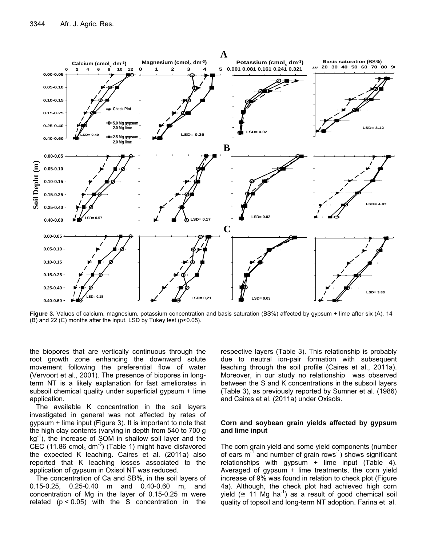

**Figure 3.** Values of calcium, magnesium, potassium concentration and basis saturation (BS%) affected by gypsum + lime after six (A), 14 (B) and 22 (C) months after the input. LSD by Tukey test (p<0.05).

the biopores that are vertically continuous through the root growth zone enhancing the downward solute movement following the preferential flow of water (Vervoort et al., 2001). The presence of biopores in longterm NT is a likely explanation for fast ameliorates in subsoil chemical quality under superficial gypsum + lime application.

The available K concentration in the soil layers investigated in general was not affected by rates of gypsum + lime input (Figure 3). It is important to note that the high clay contents (varying in depth from 540 to 700 g  $kg<sup>-1</sup>$ ), the increase of SOM in shallow soil layer and the CEC (11.86 cmol<sub>c</sub> dm<sup>-3</sup>) (Table 1) might have disfavored the expected K leaching. Caires et al. (2011a) also reported that K leaching losses associated to the application of gypsum in Oxisol NT was reduced.

The concentration of Ca and SB%, in the soil layers of 0.15-0.25, 0.25-0.40 m and 0.40-0.60 m, and concentration of Mg in the layer of 0.15-0.25 m were related  $(p < 0.05)$  with the S concentration in the respective layers (Table 3). This relationship is probably due to neutral ion-pair formation with subsequent leaching through the soil profile (Caires et al., 2011a). Moreover, in our study no relationship was observed between the S and K concentrations in the subsoil layers (Table 3), as previously reported by Sumner et al. (1986) and Caires et al. (2011a) under Oxisols.

#### **Corn and soybean grain yields affected by gypsum and lime input**

The corn grain yield and some yield components (number of ears  $m<sup>-1</sup>$  and number of grain rows<sup>-1</sup>) shows significant relationships with gypsum  $+$  lime input (Table 4). Averaged of gypsum + lime treatments, the corn yield increase of 9% was found in relation to check plot (Figure 4a). Although, the check plot had achieved high corn yield ( $\cong$  11 Mg ha<sup>-1</sup>) as a result of good chemical soil quality of topsoil and long-term NT adoption. Farina et al.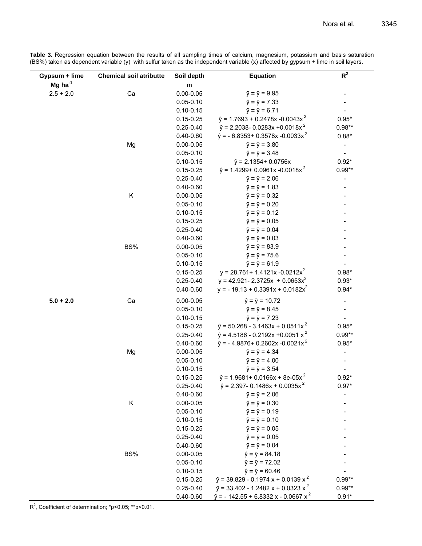**Table 3.** Regression equation between the results of all sampling times of calcium, magnesium, potassium and basis saturation (BS%) taken as dependent variable (y) with sulfur taken as the independent variable (x) affected by gypsum + lime in soil layers.

| Gypsum + lime         | <b>Chemical soil atributte</b> | Soil depth                     | <b>Equation</b>                                                                      | $R^2$                    |
|-----------------------|--------------------------------|--------------------------------|--------------------------------------------------------------------------------------|--------------------------|
| $Mg$ ha <sup>-1</sup> |                                | m                              |                                                                                      |                          |
| $2.5 + 2.0$           | Ca                             | $0.00 - 0.05$                  | $\hat{y} = \bar{y} = 9.95$                                                           |                          |
|                       |                                | $0.05 - 0.10$                  | $\hat{y} = \bar{y} = 7.33$                                                           |                          |
|                       |                                | $0.10 - 0.15$                  | $\hat{y} = \bar{y} = 6.71$                                                           |                          |
|                       |                                | $0.15 - 0.25$                  | $\hat{y}$ = 1.7693 + 0.2478x -0.0043x <sup>2</sup>                                   | $0.95*$                  |
|                       |                                | $0.25 - 0.40$                  | $\hat{y}$ = 2.2038- 0.0283x +0.0018x <sup>2</sup>                                    | $0.98**$                 |
|                       |                                | $0.40 - 0.60$                  | $\hat{y}$ = - 6.8353+ 0.3578x -0.0033x <sup>2</sup>                                  | $0.88*$                  |
|                       | Mg                             | $0.00 - 0.05$                  | $\hat{y} = \bar{y} = 3.80$                                                           | $\overline{\phantom{a}}$ |
|                       |                                | $0.05 - 0.10$                  | $\hat{y} = \bar{y} = 3.48$                                                           | $\overline{\phantom{a}}$ |
|                       |                                | $0.10 - 0.15$                  | $\hat{y}$ = 2.1354+ 0.0756x                                                          | $0.92*$                  |
|                       |                                | $0.15 - 0.25$                  | $\hat{y}$ = 1.4299+ 0.0961x -0.0018x <sup>2</sup>                                    | $0.99**$                 |
|                       |                                | $0.25 - 0.40$                  | $\hat{y} = \bar{y} = 2.06$                                                           |                          |
|                       |                                | $0.40 - 0.60$                  | $\hat{y} = \bar{y} = 1.83$                                                           |                          |
|                       | Κ                              | $0.00 - 0.05$                  | $\hat{y} = \bar{y} = 0.32$                                                           |                          |
|                       |                                | $0.05 - 0.10$                  | $\hat{y} = \bar{y} = 0.20$                                                           |                          |
|                       |                                | $0.10 - 0.15$                  | $\hat{y} = \bar{y} = 0.12$                                                           |                          |
|                       |                                | $0.15 - 0.25$                  | $\hat{y} = \bar{y} = 0.05$                                                           |                          |
|                       |                                | $0.25 - 0.40$                  | $\hat{y} = \bar{y} = 0.04$                                                           |                          |
|                       |                                | $0.40 - 0.60$                  | $\hat{y} = \bar{y} = 0.03$                                                           |                          |
|                       | BS%                            | $0.00 - 0.05$                  | $\hat{y} = \bar{y} = 83.9$                                                           |                          |
|                       |                                | $0.05 - 0.10$                  | $\hat{y} = \bar{y} = 75.6$                                                           |                          |
|                       |                                | $0.10 - 0.15$                  | $\hat{y} = \bar{y} = 61.9$                                                           |                          |
|                       |                                | $0.15 - 0.25$                  | $y = 28.761 + 1.4121x - 0.0212x^2$                                                   | $0.98*$                  |
|                       |                                | $0.25 - 0.40$                  | $y = 42.921 - 2.3725x + 0.0653x^2$                                                   | $0.93*$                  |
|                       |                                | $0.40 - 0.60$                  | $y = -19.13 + 0.3391x + 0.0182x^2$                                                   | $0.94*$                  |
| $5.0 + 2.0$           | Ca                             | $0.00 - 0.05$                  | $\hat{y} = \bar{y} = 10.72$                                                          | $\overline{\phantom{a}}$ |
|                       |                                | $0.05 - 0.10$                  | $\hat{y} = \bar{y} = 8.45$                                                           |                          |
|                       |                                | $0.10 - 0.15$                  | $\hat{y} = \bar{y} = 7.23$                                                           |                          |
|                       |                                | $0.15 - 0.25$                  | $\hat{y}$ = 50.268 - 3.1463x + 0.0511x <sup>2</sup>                                  | $0.95*$                  |
|                       |                                | $0.25 - 0.40$                  | $\hat{y}$ = 4.5186 - 0.2192x +0.0051 x <sup>2</sup>                                  | $0.99**$                 |
|                       |                                | $0.40 - 0.60$                  | $\hat{y}$ = -4.9876+ 0.2602x -0.0021x <sup>2</sup>                                   | $0.95*$                  |
|                       | Mg                             | $0.00 - 0.05$                  | $\hat{y} = \bar{y} = 4.34$                                                           |                          |
|                       |                                | $0.05 - 0.10$                  | $\hat{y} = \bar{y} = 4.00$                                                           |                          |
|                       |                                | $0.10 - 0.15$                  | $\hat{y} = \bar{y} = 3.54$                                                           |                          |
|                       |                                | $0.15 - 0.25$                  | $\hat{y}$ = 1.9681+ 0.0166x + 8e-05x <sup>2</sup>                                    | $0.92*$                  |
|                       |                                | $0.25 - 0.40$                  | $\hat{y}$ = 2.397- 0.1486x + 0.0035x <sup>2</sup>                                    | $0.97*$                  |
|                       |                                | $0.40 - 0.60$                  | $\hat{y} = \bar{y} = 2.06$                                                           |                          |
|                       | Κ                              | $0.00 - 0.05$                  | $\hat{y} = \bar{y} = 0.30$                                                           |                          |
|                       |                                | $0.05 - 0.10$                  | $\hat{y} = \bar{y} = 0.19$                                                           |                          |
|                       |                                | $0.10 - 0.15$                  | $\hat{y} = \bar{y} = 0.10$                                                           |                          |
|                       |                                | $0.15 - 0.25$                  | $\hat{y} = \bar{y} = 0.05$                                                           |                          |
|                       |                                | $0.25 - 0.40$                  | $\hat{y} = \bar{y} = 0.05$                                                           |                          |
|                       |                                | $0.40 - 0.60$                  | $\hat{y} = \bar{y} = 0.04$                                                           |                          |
|                       | BS%                            | $0.00 - 0.05$                  | $\hat{y} = \bar{y} = 84.18$                                                          |                          |
|                       |                                | $0.05 - 0.10$                  | $\hat{y} = \bar{y} = 72.02$                                                          |                          |
|                       |                                | $0.10 - 0.15$<br>$0.15 - 0.25$ | $\hat{y} = \bar{y} = 60.46$<br>$\hat{y}$ = 39.829 - 0.1974 x + 0.0139 x <sup>2</sup> | $0.99**$                 |
|                       |                                | $0.25 - 0.40$                  | $\hat{y}$ = 33.402 - 1.2482 x + 0.0323 x <sup>2</sup>                                | $0.99**$                 |
|                       |                                | $0.40 - 0.60$                  | $\hat{y}$ = - 142.55 + 6.8332 x - 0.0667 x <sup>2</sup>                              | $0.91*$                  |

 $R^2$ , Coefficient of determination; \*p<0.05; \*\*p<0.01.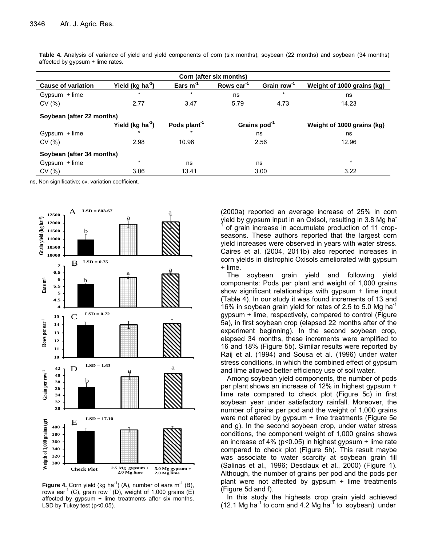| Corn (after six months)   |                              |                          |                          |                         |                            |  |  |  |
|---------------------------|------------------------------|--------------------------|--------------------------|-------------------------|----------------------------|--|--|--|
| <b>Cause of variation</b> | Yield (kg ha <sup>-1</sup> ) | Ears $m^{-1}$            | Rows ear <sup>-1</sup>   | Grain row <sup>-1</sup> | Weight of 1000 grains (kg) |  |  |  |
| Gypsum + lime             | $\star$                      | $\star$                  | ns                       | $\star$                 | ns                         |  |  |  |
| CV(%)                     | 2.77                         | 3.47                     | 5.79                     | 4.73                    | 14.23                      |  |  |  |
| Soybean (after 22 months) |                              |                          |                          |                         |                            |  |  |  |
|                           | Yield (kg $ha^{-1}$ )        | Pods plant <sup>-1</sup> | Grains pod <sup>-1</sup> |                         | Weight of 1000 grains (kg) |  |  |  |
| $Gypsum + lime$           | $\star$                      | $\star$                  | ns                       |                         | ns                         |  |  |  |
| CV(%)                     | 2.98                         | 10.96                    | 2.56                     |                         | 12.96                      |  |  |  |
| Soybean (after 34 months) |                              |                          |                          |                         |                            |  |  |  |
| Gypsum + lime             | $\star$<br>ns                |                          | ns                       |                         | $\star$                    |  |  |  |
| CV(% )                    | 3.06                         | 13.41                    |                          | 3.00                    | 3.22                       |  |  |  |

**Table 4.** Analysis of variance of yield and yield components of corn (six months), soybean (22 months) and soybean (34 months) affected by gypsum + lime rates.

ns, Non significative; cv, variation coefficient.



**Figure 4.** Corn yield (kg ha<sup>-1</sup>) (A), number of ears  $m^{-1}$  (B), rows ear<sup>-1</sup> (C), grain row<sup>-1</sup> (D), weight of 1,000 grains (E) affected by gypsum + lime treatments after six months. LSD by Tukey test (p<0.05).

(2000a) reported an average increase of 25% in corn yield by gypsum input in an Oxisol, resulting in 3.8 Mg ha-1 of grain increase in accumulate production of 11 cropseasons. These authors reported that the largest corn yield increases were observed in years with water stress. Caires et al. (2004, 2011b) also reported increases in corn yields in distrophic Oxisols ameliorated with gypsum + lime.

The soybean grain yield and following yield components: Pods per plant and weight of 1,000 grains show significant relationships with gypsum + lime input (Table 4). In our study it was found increments of 13 and 16% in soybean grain yield for rates of 2.5 to 5.0 Mg ha<sup>-1</sup> gypsum + lime, respectively, compared to control (Figure 5a), in first soybean crop (elapsed 22 months after of the experiment beginning). In the second soybean crop, elapsed 34 months, these increments were amplified to 16 and 18% (Figure 5b). Similar results were reported by Raij et al. (1994) and Sousa et al. (1996) under water stress conditions, in which the combined effect of gypsum and lime allowed better efficiency use of soil water.

Among soybean yield components, the number of pods per plant shows an increase of 12% in highest gypsum + lime rate compared to check plot (Figure 5c) in first soybean year under satisfactory rainfall. Moreover, the number of grains per pod and the weight of 1,000 grains were not altered by gypsum + lime treatments (Figure 5e and g). In the second soybean crop, under water stress conditions, the component weight of 1,000 grains shows an increase of 4% (p<0.05) in highest gypsum + lime rate compared to check plot (Figure 5h). This result maybe was associate to water scarcity at soybean grain fill (Salinas et al., 1996; Desclaux et al., 2000) (Figure 1). Although, the number of grains per pod and the pods per plant were not affected by gypsum + lime treatments (Figure 5d and f).

In this study the highests crop grain yield achieved (12.1 Mg ha<sup>-1</sup> to corn and 4.2 Mg ha<sup>-1</sup> to soybean) under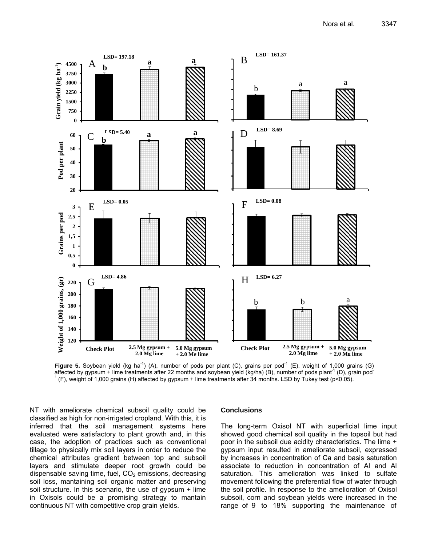

**Figure 5.** Soybean yield (kg ha<sup>-1</sup>) (A), number of pods per plant (C), grains per pod<sup>-1</sup> (E), weight of 1,000 grains (G) affected by gypsum + lime treatments after 22 months and soybean yield (kg/ha) (B), number of pods plant<sup>-1</sup> (D), grain pod<sup>-</sup> 1 (F), weight of 1,000 grains (H) affected by gypsum + lime treatments after 34 months. LSD by Tukey test (p<0.05).

NT with ameliorate chemical subsoil quality could be classified as high for non-irrigated cropland. With this, it is inferred that the soil management systems here evaluated were satisfactory to plant growth and, in this case, the adoption of practices such as conventional tillage to physically mix soil layers in order to reduce the chemical attributes gradient between top and subsoil layers and stimulate deeper root growth could be dispensable saving time, fuel,  $CO<sub>2</sub>$  emissions, decreasing soil loss, mantaining soil organic matter and preserving soil structure. In this scenario, the use of gypsum + lime in Oxisols could be a promising strategy to mantain continuous NT with competitive crop grain yields.

#### **Conclusions**

The long-term Oxisol NT with superficial lime input showed good chemical soil quality in the topsoil but had poor in the subsoil due acidity characteristics. The lime + gypsum input resulted in ameliorate subsoil, expressed by increases in concentration of Ca and basis saturation associate to reduction in concentration of Al and Al saturation. This amelioration was linked to sulfate movement following the preferential flow of water through the soil profile. In response to the amelioration of Oxisol subsoil, corn and soybean yields were increased in the range of 9 to 18% supporting the maintenance of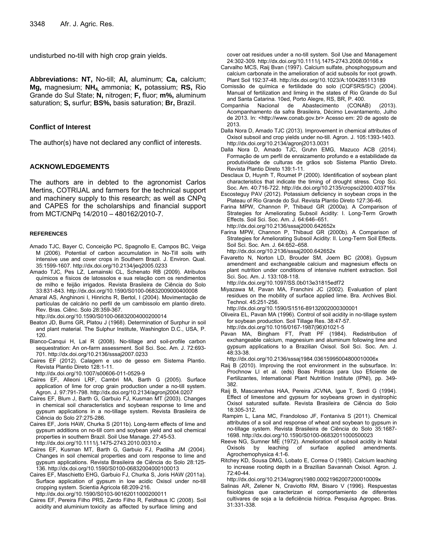undisturbed no-till with high crop grain yields.

**Abbreviations: NT,** No-till; **Al,** aluminum; **Ca,** calcium; **Mg,** magnesium; **NH4,** ammonia; **K,** potassium; **RS,** Rio Grande do Sul State; **N,** nitrogen; **F,** fluor; **m%,** aluminum saturation; **S,** surfur; **BS%,** basis saturation; **Br,** Brazil.

# **Conflict of Interest**

The author(s) have not declared any conflict of interests.

# **ACKNOWLEDGEMENTS**

The authors are in debted to the agronomist Carlos Mertins, COTRIJAL and farmers for the technical support and machinery supply to this research; as well as CNPq and CAPES for the scholarships and financial support from MCT/CNPq 14/2010 – 480162/2010-7.

#### **REFERENCES**

- Amado TJC, Bayer C, Conceição PC, Spagnollo E, Campos BC, Veiga M (2006). Potential of carbon accumulation in No-Till soils with intensive use and cover crops in Southern Brazil. J. Environ. Qual. 35:1599-1607. http://dx.doi.org/10.2134/jeq2005.0233
- Amado TJC, Pes LZ, Lemainski CL, Schenato RB (2009). Atributos químicos e físicos de latossolos e sua relação com os rendimentos de milho e feijão irrigados. Revista Brasileira de Ciência do Solo 33:831-843. http://dx.doi.org/10.1590/S0100-06832009000400008
- Amaral AS, Anghinoni I, Hinrichs R, Bertol, I (2004). Movimentação de partículas de calcário no perfil de um cambissolo em plantio direto. Rev. Bras. Ciênc. Solo 28:359-367.

http://dx.doi.org/10.1590/S0100-06832004000200014

- Beaton JD, Burns GR, Platou J (1968). Determination of Surphur in soil and plant material. The Sulphur Institute, Washington D.C., USA, P. 120.
- Blanco-Canqui H, Lal R (2008). No-tillage and soil-profile carbon sequestration: An on-farm assessment. Soil Sci. Soc. Am. J. 72:693- 701. http://dx.doi.org/10.2136/sssaj2007.0233
- Caires EF (2012). Calagem e uso de gesso em Sistema Plantio. Revista Plantio Direto 128:1-11.

http://dx.doi.org/10.1007/s00606-011-0529-9

- Caires EF, Alleoni LRF, Cambri MA, Barth G (2005). Surface application of lime for crop grain production under a no-till system. Agron. J. 97:791-798. http://dx.doi.org/10.2134/agronj2004.0207
- Caires EF, Blum J, Barth G, Garbuio FJ, Kusman MT (2003). Changes in chemical soil characteristics and soybean response to lime and gypsum applications in a no-tillage system. Revista Brasileira de Ciência do Solo 27:275-286.
- Caires EF, Joris HAW, Churka S (2011b). Long-term effects of lime and gypsum additions on no-till corn and soybean yield and soil chemical properties in southern Brazil. Soil Use Manage. 27:45-53. http://dx.doi.org/10.1111/j.1475-2743.2010.00310.x
- Caires EF, Kusman MT, Barth G, Garbuio FJ, Padilha JM (2004). Changes in soil chemical properties and corn response to lime and gypsum applications. Revista Brasileira de Ciência do Solo 28:125- 136. http://dx.doi.org/10.1590/S0100-06832004000100013
- Caires EF, Maschietto EHG, Garbuio FJ, Churka S, Joris HAW (2011a). Surface application of gypsum in low acidic Oxisol under no-till cropping system. Scientia Agricola 68:209-216.

http://dx.doi.org/10.1590/S0103-90162011000200011

Caires EF, Pereira Filho PRS, Zardo Filho R, Feldhaus IC (2008). Soil acidity and aluminium toxicity as affected by surface liming and

cover oat residues under a no-till system. Soil Use and Management 24:302-309. http://dx.doi.org/10.1111/j.1475-2743.2008.00166.x

- Carvalho MCS, Raij Bvan (1997). Calcium sulfate, phosphogypsum and calcium carbonate in the amelioration of acid subsoils for root growth. Plant Soil 192:37-48. http://dx.doi.org/10.1023/A:1004285113189
- Comissão de química e fertilidade do solo (CQFSRS/SC) (2004). Manual of fertilization and liming in the states of Rio Grande do Sul and Santa Catarina. 10ed, Porto Alegre, RS, BR, P. 400.
- Companhia Nacional de Abastecimento (CONAB) (2013). Acompanhamento da safra Brasileira, Décimo Levantamento, Julho de 2013. In: <http://www.conab.gov.br> Acesso em: 20 de agosto de 2013.
- Dalla Nora D, Amado TJC (2013). Improvement in chemical attributes of Oxisol subsoil and crop yields under no-till. Agron. J. 105:1393-1403. http://dx.doi.org/10.2134/agronj2013.0031
- Dalla Nora D, Amado TJC, Gruhn EMG, Mazuco ACB (2014). Formação de um perfil de enraizamento profundo e a estabilidade da produtividade de culturas de grãos sob Sistema Plantio Direto. Revista Plantio Direto 139:1-11.
- Desclaux D, Huynh T, Roumet P (2000). Identification of soybean plant characteristics that indicate the timing of drought stress. Crop Sci. Soc. Am. 40:716-722. http://dx.doi.org/10.2135/cropsci2000.403716x
- Escosteguy PAV (2012). Potassium deficiency in soybean crops in the Plateau of Rio Grande do Sul. Revista Plantio Direto 127:36-46.
- Farina MPW, Channon P, Thibaud GR (2000a). A Comparison of Strategies for Ameliorating Subsoil Acidity: I. Long-Term Growth Effects. Soil Sci. Soc. Am. J. 64:646–651. http://dx.doi.org/10.2136/sssaj2000.642652x
- Farina MPW, Channon P, Thibaud GR (2000b). A Comparison of Strategies for Ameliorating Subsoil Acidity: II. Long-Term Soil Effects. Soil Sci. Soc. Am. J. 64:652–658.
- http://dx.doi.org/10.2136/sssaj2000.642652x
- Favaretto N, Norton LD, Brouder SM, Joern BC (2008). Gypsum amendment and exchangeable calcium and magnesium effects on plant nutrition under conditions of intensive nutrient extraction. Soil Sci. Soc. Am. J. 133:108-118.
- http://dx.doi.org/10.1097/SS.0b013e31815edf72
- Miyazawa M, Pavan MA, Franchini JC (2002). Evaluation of plant residues on the mobility of surface applied lime. Bra. Archives Biol. Technol. 45:251-256.
- http://dx.doi.org/10.1590/S1516-89132002000300001
- Oliveira EL, Pavan MA (1996). Control of soil acidity in no-tillage system for soybean production. Soil Tillage Res. 38:47-57. http://dx.doi.org/10.1016/0167-1987(96)01021-5
- Pavan MA, Bingham FT, Pratt PF (1984). Redistribution of exchangeable calcium, magnesium and aluminum following lime and gypsum applications to a Brazilian Oxisol. Soil Sci. Soc. Am. J. 48:33-38.

http://dx.doi.org/10.2136/sssaj1984.03615995004800010006x

- Raij B (2010). Improving the root environment in the subsurface. In: Prochnow LI et al. (eds) Boas Práticas para Uso Eficiente de Fertilizantes, International Plant Nutrition Institute (IPNI), pp. 349- 382.
- Raij B, Mascarenhas HAA, Pereira JCVNA, Igue T, Sordi G (1994). Effect of limestone and gypsum for soybeans grown in dystrophic Oxisol saturated sulfate. Revista Brasileira de Ciência do Solo 18:305-312.
- Rampim L, Lana MC, Frandoloso JF, Fontaniva S (2011). Chemical attributes of a soil and response of wheat and soybean to gypsum in no-tillage system. Revista Brasileira de Ciência do Solo 35:1687- 1698. http://dx.doi.org/10.1590/S0100-06832011000500023
- Reeve NG, Sumner ME (1972). Amelioration of subsoil acidity in Natal Oxisols by leaching of surface applied amendments. Agrochemophysica 4:1-6.
- Ritchey KD, Sousa DMG, Lobato E, Correa O (1980). Calcium leaching to increase rooting depth in a Brazilian Savannah Oxisol. Agron. J. 72:40-44.
- http://dx.doi.org/10.2134/agronj1980.00021962007200010009x
- Salinas AR, Zelener N, Craviotto RM, Bisaro V (1996). Respuestas fisiológicas que caracterizan el comportamiento de diferentes cultivares de soja a la deficiência hídrica. Pesquisa Agropec. Bras. 31:331-338.